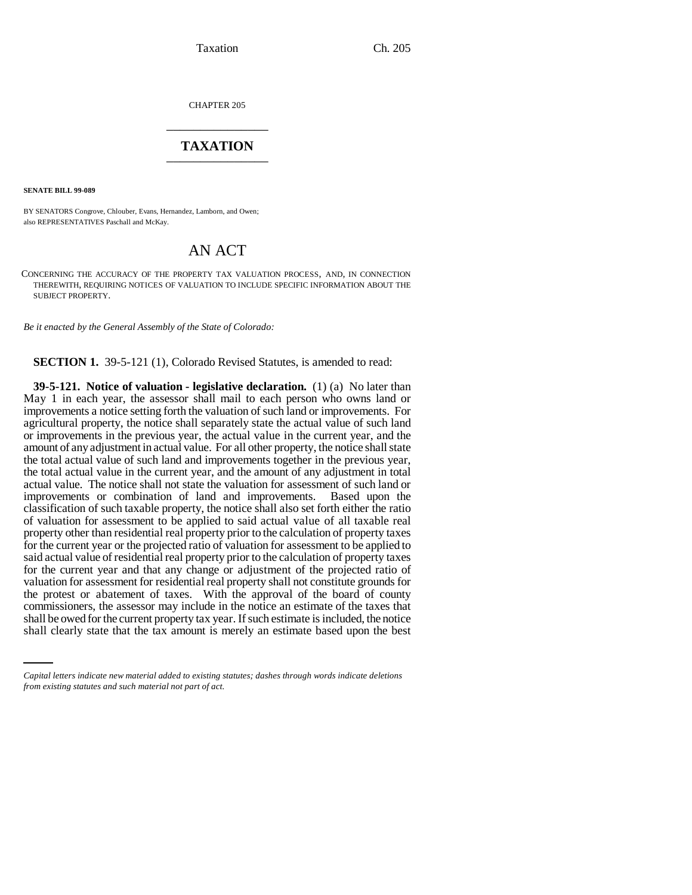CHAPTER 205 \_\_\_\_\_\_\_\_\_\_\_\_\_\_\_

## **TAXATION** \_\_\_\_\_\_\_\_\_\_\_\_\_\_\_

**SENATE BILL 99-089** 

BY SENATORS Congrove, Chlouber, Evans, Hernandez, Lamborn, and Owen; also REPRESENTATIVES Paschall and McKay.

## AN ACT

CONCERNING THE ACCURACY OF THE PROPERTY TAX VALUATION PROCESS, AND, IN CONNECTION THEREWITH, REQUIRING NOTICES OF VALUATION TO INCLUDE SPECIFIC INFORMATION ABOUT THE SUBJECT PROPERTY.

*Be it enacted by the General Assembly of the State of Colorado:*

**SECTION 1.** 39-5-121 (1), Colorado Revised Statutes, is amended to read:

commissioners, the assessor may include in the notice an estimate of the taxes that **39-5-121. Notice of valuation - legislative declaration.** (1) (a) No later than May 1 in each year, the assessor shall mail to each person who owns land or improvements a notice setting forth the valuation of such land or improvements. For agricultural property, the notice shall separately state the actual value of such land or improvements in the previous year, the actual value in the current year, and the amount of any adjustment in actual value. For all other property, the notice shall state the total actual value of such land and improvements together in the previous year, the total actual value in the current year, and the amount of any adjustment in total actual value. The notice shall not state the valuation for assessment of such land or improvements or combination of land and improvements. Based upon the classification of such taxable property, the notice shall also set forth either the ratio of valuation for assessment to be applied to said actual value of all taxable real property other than residential real property prior to the calculation of property taxes for the current year or the projected ratio of valuation for assessment to be applied to said actual value of residential real property prior to the calculation of property taxes for the current year and that any change or adjustment of the projected ratio of valuation for assessment for residential real property shall not constitute grounds for the protest or abatement of taxes. With the approval of the board of county shall be owed for the current property tax year. If such estimate is included, the notice shall clearly state that the tax amount is merely an estimate based upon the best

*Capital letters indicate new material added to existing statutes; dashes through words indicate deletions from existing statutes and such material not part of act.*